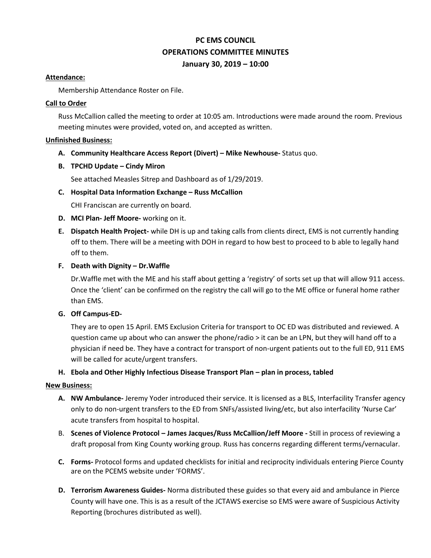# **PC EMS COUNCIL OPERATIONS COMMITTEE MINUTES January 30, 2019 – 10:00**

### **Attendance:**

Membership Attendance Roster on File.

### **Call to Order**

Russ McCallion called the meeting to order at 10:05 am. Introductions were made around the room. Previous meeting minutes were provided, voted on, and accepted as written.

# **Unfinished Business:**

# **A. Community Healthcare Access Report (Divert) – Mike Newhouse-** Status quo.

# **B. TPCHD Update – Cindy Miron**

See attached Measles Sitrep and Dashboard as of 1/29/2019.

# **C. Hospital Data Information Exchange – Russ McCallion**

CHI Franciscan are currently on board.

- **D. MCI Plan- Jeff Moore-** working on it.
- **E. Dispatch Health Project-** while DH is up and taking calls from clients direct, EMS is not currently handing off to them. There will be a meeting with DOH in regard to how best to proceed to b able to legally hand off to them.

# **F. Death with Dignity – Dr.Waffle**

Dr.Waffle met with the ME and his staff about getting a 'registry' of sorts set up that will allow 911 access. Once the 'client' can be confirmed on the registry the call will go to the ME office or funeral home rather than EMS.

### **G. Off Campus-ED-**

They are to open 15 April. EMS Exclusion Criteria for transport to OC ED was distributed and reviewed. A question came up about who can answer the phone/radio > it can be an LPN, but they will hand off to a physician if need be. They have a contract for transport of non-urgent patients out to the full ED, 911 EMS will be called for acute/urgent transfers.

# **H. Ebola and Other Highly Infectious Disease Transport Plan – plan in process, tabled**

#### **New Business:**

- **A. NW Ambulance-** Jeremy Yoder introduced their service. It is licensed as a BLS, Interfacility Transfer agency only to do non-urgent transfers to the ED from SNFs/assisted living/etc, but also interfacility 'Nurse Car' acute transfers from hospital to hospital.
- B. **Scenes of Violence Protocol – James Jacques/Russ McCallion/Jeff Moore -** Still in process of reviewing a draft proposal from King County working group. Russ has concerns regarding different terms/vernacular.
- **C. Forms-** Protocol forms and updated checklists for initial and reciprocity individuals entering Pierce County are on the PCEMS website under 'FORMS'.
- **D. Terrorism Awareness Guides-** Norma distributed these guides so that every aid and ambulance in Pierce County will have one. This is as a result of the JCTAWS exercise so EMS were aware of Suspicious Activity Reporting (brochures distributed as well).